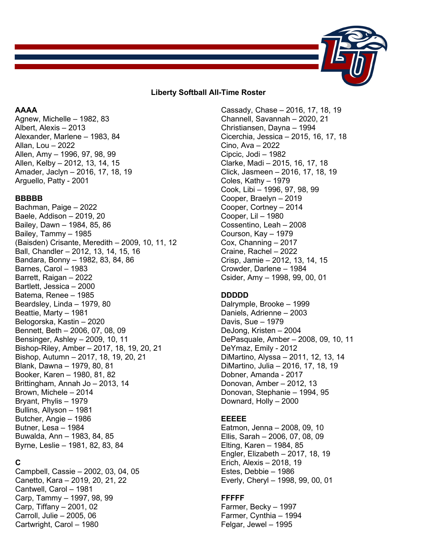

### **Liberty Softball All-Time Roster**

### **AAAA**

Agnew, Michelle – 1982, 83 Albert, Alexis – 2013 Alexander, Marlene – 1983, 84 Allan, Lou – 2022 Allen, Amy – 1996, 97, 98, 99 Allen, Kelby – 2012, 13, 14, 15 Amader, Jaclyn – 2016, 17, 18, 19 Arguello, Patty - 2001

### **BBBBB**

Bachman, Paige – 2022 Baele, Addison – 2019, 20 Bailey, Dawn – 1984, 85, 86 Bailey, Tammy – 1985 (Baisden) Crisante, Meredith – 2009, 10, 11, 12 Ball, Chandler – 2012, 13, 14, 15, 16 Bandara, Bonny – 1982, 83, 84, 86 Barnes, Carol – 1983 Barrett, Raigan – 2022 Bartlett, Jessica – 2000 Batema, Renee – 1985 Beardsley, Linda – 1979, 80 Beattie, Marty – 1981 Belogorska, Kastin – 2020 Bennett, Beth – 2006, 07, 08, 09 Bensinger, Ashley – 2009, 10, 11 Bishop-Riley, Amber – 2017, 18, 19, 20, 21 Bishop, Autumn – 2017, 18, 19, 20, 21 Blank, Dawna – 1979, 80, 81 Booker, Karen – 1980, 81, 82 Brittingham, Annah Jo – 2013, 14 Brown, Michele – 2014 Bryant, Phylis – 1979 Bullins, Allyson – 1981 Butcher, Angie – 1986 Butner, Lesa – 1984 Buwalda, Ann – 1983, 84, 85 Byrne, Leslie – 1981, 82, 83, 84

# **C**

Campbell, Cassie – 2002, 03, 04, 05 Canetto, Kara – 2019, 20, 21, 22 Cantwell, Carol – 1981 Carp, Tammy – 1997, 98, 99 Carp, Tiffany – 2001, 02 Carroll, Julie – 2005, 06 Cartwright, Carol – 1980

Cassady, Chase – 2016, 17, 18, 19 Channell, Savannah – 2020, 21 Christiansen, Dayna – 1994 Cicerchia, Jessica – 2015, 16, 17, 18 Cino, Ava – 2022 Cipcic, Jodi – 1982 Clarke, Madi – 2015, 16, 17, 18 Click, Jasmeen – 2016, 17, 18, 19 Coles, Kathy – 1979 Cook, Libi – 1996, 97, 98, 99 Cooper, Braelyn – 2019 Cooper, Cortney – 2014 Cooper, Lil – 1980 Cossentino, Leah – 2008 Courson, Kay – 1979 Cox, Channing – 2017 Craine, Rachel – 2022 Crisp, Jamie – 2012, 13, 14, 15 Crowder, Darlene – 1984 Csider, Amy – 1998, 99, 00, 01

## **DDDDD**

Dalrymple, Brooke – 1999 Daniels, Adrienne – 2003 Davis, Sue – 1979 DeJong, Kristen – 2004 DePasquale, Amber – 2008, 09, 10, 11 DeYmaz, Emily - 2012 DiMartino, Alyssa – 2011, 12, 13, 14 DiMartino, Julia – 2016, 17, 18, 19 Dobner, Amanda - 2017 Donovan, Amber – 2012, 13 Donovan, Stephanie – 1994, 95 Downard, Holly – 2000

## **EEEEE**

Eatmon, Jenna – 2008, 09, 10 Ellis, Sarah – 2006, 07, 08, 09 Elting, Karen – 1984, 85 Engler, Elizabeth – 2017, 18, 19 Erich, Alexis – 2018, 19 Estes, Debbie – 1986 Everly, Cheryl – 1998, 99, 00, 01

## **FFFFF**

Farmer, Becky – 1997 Farmer, Cynthia – 1994 Felgar, Jewel – 1995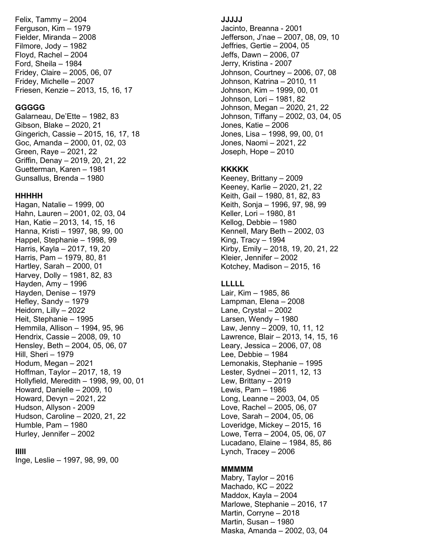Felix, Tammy – 2004 Ferguson, Kim – 1979 Fielder, Miranda – 2008 Filmore, Jody – 1982 Floyd, Rachel – 2004 Ford, Sheila – 1984 Fridey, Claire – 2005, 06, 07 Fridey, Michelle – 2007 Friesen, Kenzie – 2013, 15, 16, 17

### **GGGGG**

Galarneau, De'Ette – 1982, 83 Gibson, Blake – 2020, 21 Gingerich, Cassie – 2015, 16, 17, 18 Goc, Amanda – 2000, 01, 02, 03 Green, Raye – 2021, 22 Griffin, Denay – 2019, 20, 21 , 22 Guetterman, Karen – 1981 Gunsallus, Brenda – 1980

#### **HHHHH**

Hagan, Natalie – 1999, 00 Hahn, Lauren – 2001, 02, 03, 04 Han, Katie – 2013, 14, 15, 16 Hanna, Kristi – 1997, 98, 99, 00 Happel, Stephanie – 1998, 99 Harris, Kayla – 2017, 19, 20 Harris, Pam – 1979, 80, 81 Hartley, Sarah – 2000, 01 Harvey, Dolly – 1981, 82, 83 Hayden, Amy – 1996 Hayden, Denise – 1979 Hefley, Sandy – 1979 Heidorn, Lilly – 2022 Heit, Stephanie – 1995 Hemmila, Allison – 1994, 95, 96 Hendrix, Cassie – 2008, 09, 10 Hensley, Beth – 2004, 05, 06, 07 Hill, Sheri – 1979 Hodum, Megan – 2021 Hoffman, Taylor – 2017, 18, 19 Hollyfield, Meredith – 1998, 99, 00, 01 Howard, Danielle – 2009, 10 Howard, Devyn – 2021, 22 Hudson, Allyson - 2009 Hudson, Caroline – 2020, 21, 22 Humble, Pam – 1980 Hurley, Jennifer – 2002

## **IIIII**

Inge, Leslie – 1997, 98, 99, 00

## **JJJJJ**

Jacinto, Breanna - 2001 Jefferson, J'nae – 2007, 08, 09, 10 Jeffries, Gertie – 2004, 05 Jeffs, Dawn – 2006, 07 Jerry, Kristina - 2007 Johnson, Courtney – 2006, 07, 08 Johnson, Katrina – 2010, 11 Johnson, Kim – 1999, 00, 01 Johnson, Lori – 1981, 82 Johnson, Megan – 2020, 21, 22 Johnson, Tiffany – 2002, 03, 04, 05 Jones, Katie – 2006 Jones, Lisa – 1998, 99, 00, 01 Jones, Naomi – 2021, 22 Joseph, Hope – 2010

## **KKKKK**

Keeney, Brittany – 2009 Keeney, Karlie – 2020, 21, 22 Keith, Gail – 1980, 81, 82, 83 Keith, Sonja – 1996, 97, 98, 99 Keller, Lori – 1980, 8 1 Kellog, Debbie – 1980 Kennell, Mary Beth – 2002, 03 King, Tracy – 1994 Kirby, Emily – 2018, 19, 20, 21, 22 Kleier, Jennifer – 2002 Kotchey, Madison – 2015, 16

## **LLLLL**

Lair, Kim – 1985, 86 Lampman, Elena – 2008 Lane, Crystal – 2002 Larsen, Wendy – 1980 Law, Jenny – 2009, 10, 11, 12 Lawrence, Blair – 2013, 14, 15, 16 Leary, Jessica – 2006, 07, 08 Lee, Debbie – 1984 Lemonakis, Stephanie – 1995 Lester, Sydnei – 2011, 12, 13 Lew, Brittany – 2019 Lewis, Pam – 1986 Long, Leanne – 2003, 04, 05 Love, Rachel – 2005, 06, 07 Love, Sarah – 2004, 05, 06 Loveridge, Mickey – 2015, 1 6 Lowe, Terra – 2004, 05, 06, 07 Lucadano, Elaine – 1984, 85, 86 Lynch, Tracey – 2006

## **MMMMM**

Mabry, Taylor – 2016 Machado, KC – 2022 Maddox, Kayla – 2004 Marlowe, Stephanie – 2016, 17 Martin, Corryne – 2018 Martin, Susan – 1980 Maska, Amanda – 2002, 03, 04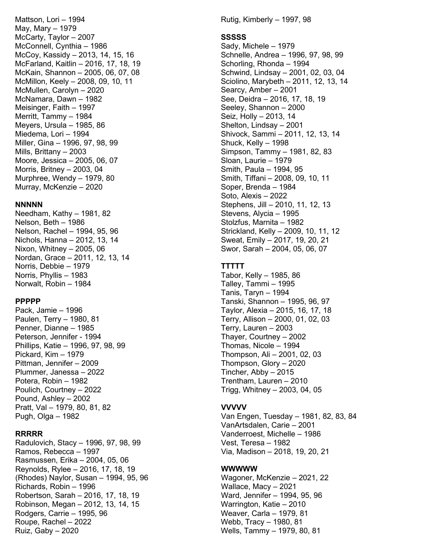Mattson, Lori – 1994 May, Mary – 1979 McCarty, Taylor – 2007 McConnell, Cynthia – 1986 McCoy, Kassidy – 2013, 14, 15, 16 McFarland, Kaitlin – 2016, 17, 18, 19 McKain, Shannon – 2005, 06, 07, 08 McMillon, Keely – 2008, 09, 10, 11 McMullen, Carolyn – 2020 McNamara, Dawn – 1982 Meisinger, Faith – 1997 Merritt, Tammy – 1984 Meyers, Ursula – 1985, 86 Miedema, Lori – 1994 Miller, Gina – 1996, 97, 98, 99 Mills, Brittany – 2003 Moore, Jessica – 2005, 06, 07 Morris, Britney – 2003, 04 Murphree, Wendy – 1979, 80 Murray, McKenzie – 2020

#### **NNNNN**

Needham, Kathy – 1981, 82 Nelson, Beth – 1986 Nelson, Rachel – 1994, 95, 96 Nichols, Hanna – 2012, 13, 14 Nixon, Whitney – 2005, 06 Nordan, Grace – 2011, 12, 13, 14 Norris, Debbie – 1979 Norris, Phyllis – 1983 Norwalt, Robin – 1984

### **PPPPP**

Pack, Jamie – 1996 Paulen, Terry – 1980, 81 Penner, Dianne – 1985 Peterson, Jennifer - 1994 Phillips, Katie – 1996, 97, 98, 99 Pickard, Kim – 1979 Pittman, Jennifer – 2009 Plummer, Janessa – 2022 Potera, Robin – 1982 Poulich, Courtney – 2022 Pound, Ashley – 2002 Pratt, Val – 1979, 80, 81, 82 Pugh, Olga – 1982

#### **RRRRR**

Radulovich, Stacy – 1996, 97, 98, 99 Ramos, Rebecca – 1997 Rasmussen, Erika – 2004, 05, 06 Reynolds, Rylee – 2016, 17, 18, 19 (Rhodes) Naylor, Susan – 1994, 95, 96 Richards, Robin – 1996 Robertson, Sarah – 2016, 17, 18, 19 Robinson, Megan – 2012, 13, 14, 15 Rodgers, Carrie – 1995, 96 Roupe, Rachel – 2022 Ruiz, Gaby – 2020

Rutig, Kimberly – 1997, 98

### **SSSSS**

Sady, Michele – 1979 Schnelle, Andrea – 1996, 97, 98, 99 Schorling, Rhonda – 1994 Schwind, Lindsay – 2001, 02, 03, 04 Sciolino, Marybeth – 2011, 12, 13, 14 Searcy, Amber – 2001 See, Deidra – 2016, 17, 18, 19 Seeley, Shannon – 2000 Seiz, Holly – 2013, 14 Shelton, Lindsay – 2001 Shivock, Sammi – 2011, 12, 13, 14 Shuck, Kelly – 1998 Simpson, Tammy – 1981, 82, 83 Sloan, Laurie – 1979 Smith, Paula – 1994, 95 Smith, Tiffani – 2008, 09, 10, 11 Soper, Brenda – 1984 Soto, Alexis – 2022 Stephens, Jill – 2010, 11, 12, 13 Stevens, Alycia – 1995 Stolzfus, Marnita – 1982 Strickland, Kelly – 2009, 10, 11, 12 Sweat, Emily – 2017, 19, 20, 21 Swor, Sarah – 2004, 05, 06, 07

### **TTTTT**

Tabor, Kelly – 1985, 86 Talley, Tammi – 1995 Tanis, Taryn – 1994 Tanski, Shannon – 1995, 96, 97 Taylor, Alexia – 2015, 16, 17, 18 Terry, Allison – 2000, 01, 02, 03 Terry, Lauren – 2003 Thayer, Courtney – 2002 Thomas, Nicole – 1994 Thompson, Ali – 2001, 02, 03 Thompson, Glory – 2020 Tincher, Abby – 2015 Trentham, Lauren – 2010 Trigg, Whitney – 2003, 04, 05

### **VVVVV**

Van Engen, Tuesday – 1981, 82, 83, 84 VanArtsdalen, Carie – 2001 Vanderroest, Michelle – 1986 Vest, Teresa – 1982 Via, Madison – 2018, 19, 20, 21

### **WWWWW**

Wagoner, McKenzie – 2021, 22 Wallace, Macy – 2021 Ward, Jennifer – 1994, 95, 96 Warrington, Katie – 2010 Weaver, Carla – 1979, 81 Webb, Tracy – 1980, 81 Wells, Tammy – 1979, 80, 81